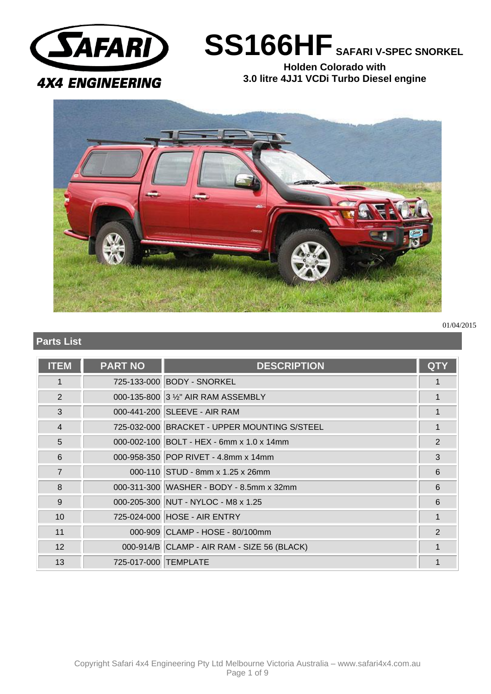

**SS166HF SAFARI V-SPEC SNORKEL**

**Holden Colorado with 3.0 litre 4JJ1 VCDi Turbo Diesel engine**



01/04/2015

# **Parts List**

| <b>ITEM</b>     | <b>PART NO</b>       | <b>DESCRIPTION</b>                           | <b>QTY</b>     |
|-----------------|----------------------|----------------------------------------------|----------------|
| 1               |                      | 725-133-000 BODY - SNORKEL                   | 1              |
| 2               |                      | 000-135-800 3 1/2" AIR RAM ASSEMBLY          |                |
| 3               |                      | 000-441-200 SLEEVE - AIR RAM                 | 1              |
| $\overline{4}$  |                      | 725-032-000 BRACKET - UPPER MOUNTING S/STEEL | 1              |
| 5               |                      | 000-002-100 BOLT - HEX - 6mm x 1.0 x 14mm    | $\overline{2}$ |
| 6               |                      | 000-958-350 POP RIVET - 4.8mm x 14mm         | 3              |
| $\overline{7}$  |                      | 000-110 STUD - 8mm x 1.25 x 26mm             | 6              |
| 8               |                      | 000-311-300 WASHER - BODY - 8.5mm x 32mm     | 6              |
| 9               |                      | 000-205-300 NUT - NYLOC - M8 x 1.25          | 6              |
| 10 <sup>1</sup> |                      | 725-024-000 HOSE - AIR ENTRY                 |                |
| 11              |                      | 000-909 CLAMP - HOSE - 80/100mm              | $\overline{2}$ |
| 12 <sup>2</sup> |                      | 000-914/B CLAMP - AIR RAM - SIZE 56 (BLACK)  |                |
| 13              | 725-017-000 TEMPLATE |                                              |                |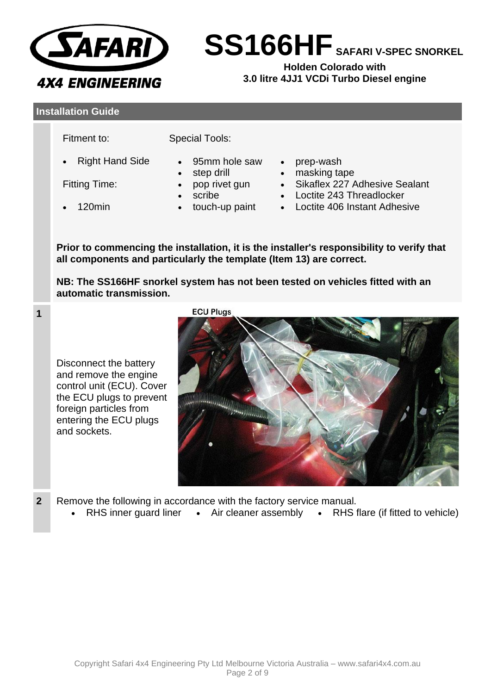

**SS166HF SAFARI V-SPEC SNORKEL**

**Holden Colorado with 3.0 litre 4JJ1 VCDi Turbo Diesel engine**

## **Installation Guide**

Fitment to:

Special Tools:

- Right Hand Side
- 95mm hole saw • step drill
- prep-wash
	- masking tape
- Fitting Time:
- 120min

**1**

- pop rivet gun • scribe
- 
- 
- Sikaflex 227 Adhesive Sealant
- Loctite 243 Threadlocker
- touch-up paint Loctite 406 Instant Adhesive

**Prior to commencing the installation, it is the installer's responsibility to verify that all components and particularly the template (Item 13) are correct.**

**NB: The SS166HF snorkel system has not been tested on vehicles fitted with an automatic transmission.**

Disconnect the battery and remove the engine control unit (ECU). Cover the ECU plugs to prevent foreign particles from entering the ECU plugs and sockets.



- **2** Remove the following in accordance with the factory service manual.
	- RHS inner quard liner Air cleaner assembly RHS flare (if fitted to vehicle)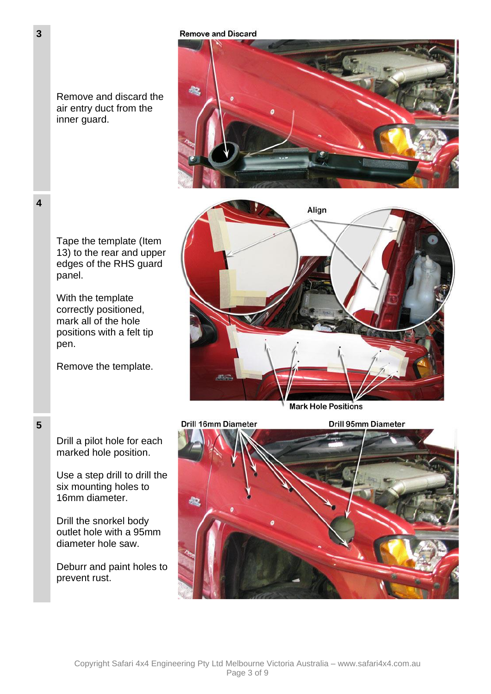#### **Remove and Discard**

Remove and discard the air entry duct from the inner guard.



Tape the template (Item 13) to the rear and upper edges of the RHS guard panel.

With the template correctly positioned, mark all of the hole positions with a felt tip pen.

Remove the template.

Drill a pilot hole for each marked hole position.

Use a step drill to drill the six mounting holes to 16mm diameter.

Drill the snorkel body outlet hole with a 95mm diameter hole saw.

Deburr and paint holes to

prevent rust.



**Drill 16mm Diameter** 



**3**

**4**

**5**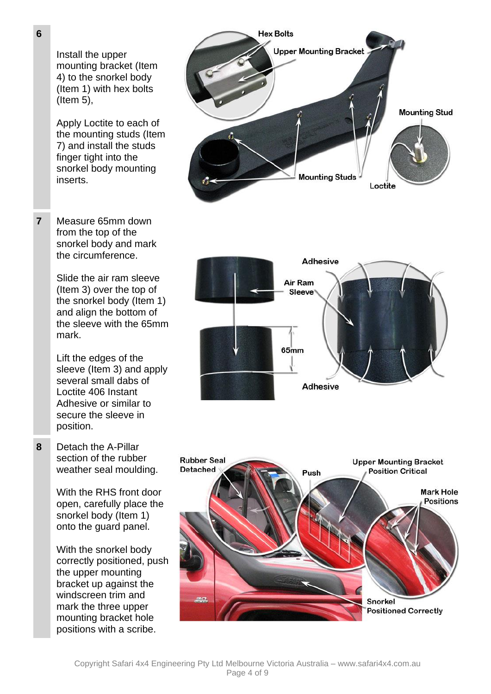Apply Loctite to each of the mounting studs (Item 7) and install the studs finger tight into the snorkel body mounting inserts.

**7** Measure 65mm down from the top of the snorkel body and mark the circumference.

> Slide the air ram sleeve (Item 3) over the top of the snorkel body (Item 1) and align the bottom of the sleeve with the 65mm mark.

> Lift the edges of the sleeve (Item 3) and apply several small dabs of Loctite 406 Instant Adhesive or similar to secure the sleeve in position.

**8** Detach the A-Pillar section of the rubber weather seal moulding.

> With the RHS front door open, carefully place the snorkel body (Item 1) onto the guard panel.

With the snorkel body correctly positioned, push the upper mounting bracket up against the windscreen trim and mark the three upper mounting bracket hole positions with a scribe.





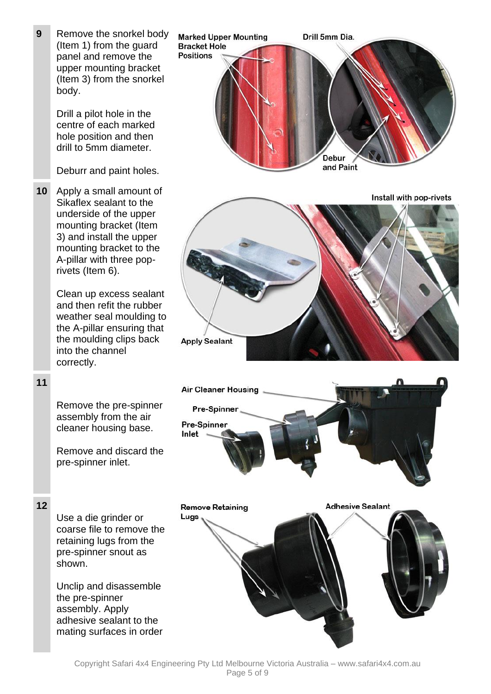**9** Remove the snorkel body **Marked Upper Mounting** Drill 5mm Dia. (Item 1) from the guard **Bracket Hole** panel and remove the **Positions** upper mounting bracket (Item 3) from the snorkel body. Drill a pilot hole in the centre of each marked hole position and then drill to 5mm diameter. Debur and Paint Deburr and paint holes. **10** Apply a small amount of Install with pop-rivets Sikaflex sealant to the underside of the upper mounting bracket (Item 3) and install the upper mounting bracket to the A-pillar with three poprivets (Item 6). Clean up excess sealant and then refit the rubber weather seal moulding to the A-pillar ensuring that the moulding clips back **Apply Sealant** into the channel correctly. **11 Air Cleaner Housing** Remove the pre-spinner Pre-Spinner assembly from the air Pre-Spinner cleaner housing base. Inlet Remove and discard the pre-spinner inlet. **12 Adhesive Sealant Remove Retaining** Use a die grinder or Lugs coarse file to remove the retaining lugs from the pre-spinner snout as shown. Unclip and disassemble the pre-spinner assembly. Apply adhesive sealant to the mating surfaces in order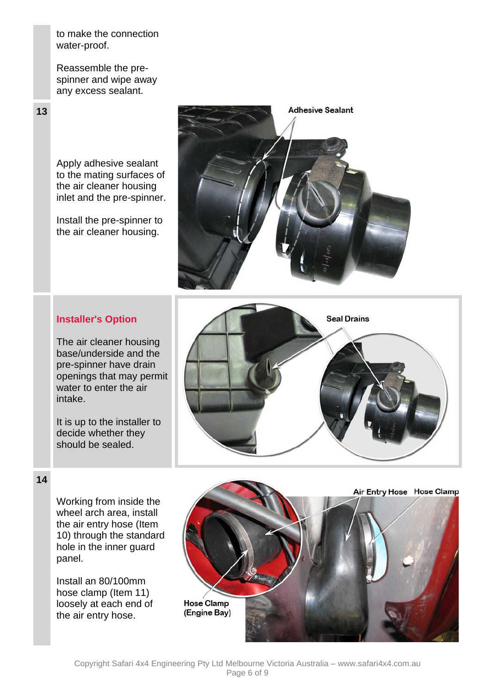to make the connection water-proof.

Reassemble the prespinner and wipe away any excess sealant.

**13**

Apply adhesive sealant to the mating surfaces of the air cleaner housing inlet and the pre-spinner.

Install the pre-spinner to the air cleaner housing.



## **Installer's Option**

The air cleaner housing base/underside and the pre-spinner have drain openings that may permit water to enter the air intake.

It is up to the installer to decide whether they should be sealed.



### **14**

Working from inside the wheel arch area, install the air entry hose (Item 10) through the standard hole in the inner guard panel.

Install an 80/100mm hose clamp (Item 11) loosely at each end of the air entry hose.

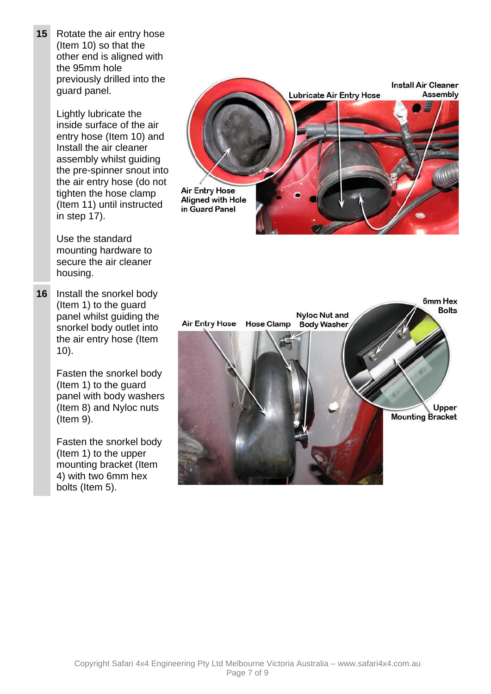**15** Rotate the air entry hose (Item 10) so that the other end is aligned with the 95mm hole previously drilled into the guard panel.

> Lightly lubricate the inside surface of the air entry hose (Item 10) and Install the air cleaner assembly whilst guiding the pre-spinner snout into the air entry hose (do not tighten the hose clamp (Item 11) until instructed in step 17).

Use the standard mounting hardware to secure the air cleaner housing.

**16** Install the snorkel body (Item 1) to the guard panel whilst guiding the snorkel body outlet into the air entry hose (Item 10).

> Fasten the snorkel body (Item 1) to the guard panel with body washers (Item 8) and Nyloc nuts (Item 9).

Fasten the snorkel body (Item 1) to the upper mounting bracket (Item 4) with two 6mm hex bolts (Item 5).